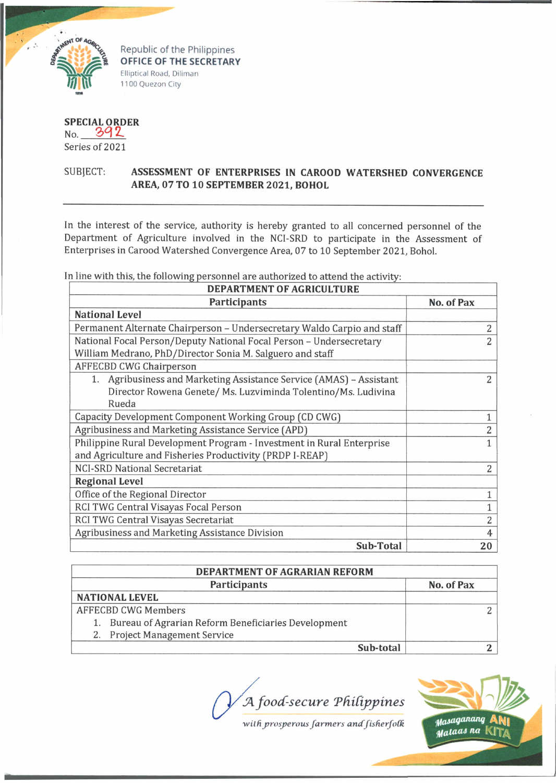

Republic of the Philippines **OFFICE OF THE SECRETARY** Elliptical Road, Diliman 1100 Quezon City

**SPECIAL ORDER** No. 392

Series of 2021

## SUBJECT: **ASSESSMENT OF ENTERPRISES IN CAROOD WATERSHED CONVERGENCE AREA, 07 TO 10 SEPTEMBER 2021, BOHOL**

In the interest of the service, authority is hereby granted to all concerned personnel of the Department of Agriculture involved in the NCI-SRD to participate in the Assessment of Enterprises in Carood Watershed Convergence Area, 07 to 10 September 2021, Bohol.

In line with this, the following personnel are authorized to attend the activity:

| <b>DEPARTMENT OF AGRICULTURE</b>                                        |                |  |  |  |
|-------------------------------------------------------------------------|----------------|--|--|--|
| <b>Participants</b>                                                     | No. of Pax     |  |  |  |
| <b>National Level</b>                                                   |                |  |  |  |
| Permanent Alternate Chairperson - Undersecretary Waldo Carpio and staff | 2              |  |  |  |
| National Focal Person/Deputy National Focal Person - Undersecretary     | $\overline{2}$ |  |  |  |
| William Medrano, PhD/Director Sonia M. Salguero and staff               |                |  |  |  |
| <b>AFFECBD CWG Chairperson</b>                                          |                |  |  |  |
| 1. Agribusiness and Marketing Assistance Service (AMAS) - Assistant     | 2              |  |  |  |
| Director Rowena Genete/ Ms. Luzviminda Tolentino/Ms. Ludivina           |                |  |  |  |
| Rueda                                                                   |                |  |  |  |
| Capacity Development Component Working Group (CD CWG)                   |                |  |  |  |
| Agribusiness and Marketing Assistance Service (APD)                     | $\overline{2}$ |  |  |  |
| Philippine Rural Development Program - Investment in Rural Enterprise   |                |  |  |  |
| and Agriculture and Fisheries Productivity (PRDP I-REAP)                |                |  |  |  |
| <b>NCI-SRD National Secretariat</b>                                     | 2              |  |  |  |
| <b>Regional Level</b>                                                   |                |  |  |  |
| Office of the Regional Director                                         |                |  |  |  |
| RCI TWG Central Visayas Focal Person                                    |                |  |  |  |
| RCI TWG Central Visayas Secretariat                                     | $\overline{2}$ |  |  |  |
| Agribusiness and Marketing Assistance Division                          | 4              |  |  |  |
| Sub-Total                                                               | 20             |  |  |  |

| <b>DEPARTMENT OF AGRARIAN REFORM</b>                   |            |  |  |
|--------------------------------------------------------|------------|--|--|
| <b>Participants</b>                                    | No. of Pax |  |  |
| <b>NATIONAL LEVEL</b>                                  |            |  |  |
| <b>AFFECBD CWG Members</b>                             |            |  |  |
| 1. Bureau of Agrarian Reform Beneficiaries Development |            |  |  |
| 2. Project Management Service                          |            |  |  |
| Sub-total                                              |            |  |  |

*JAfoocC-secure TdiCijrpines*

with prosperous farmers and fisherfolk